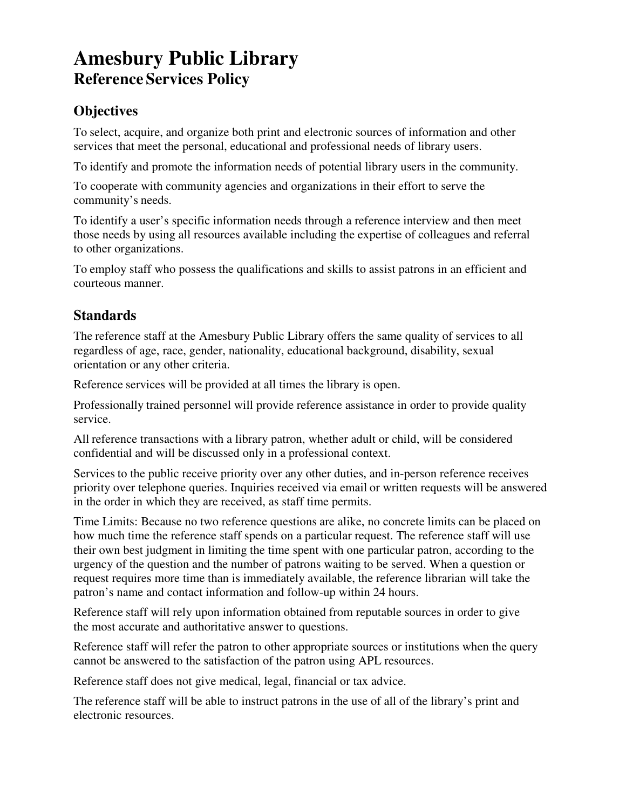# **Amesbury Public Library Reference Services Policy**

## **Objectives**

To select, acquire, and organize both print and electronic sources of information and other services that meet the personal, educational and professional needs of library users.

To identify and promote the information needs of potential library users in the community.

To cooperate with community agencies and organizations in their effort to serve the community's needs.

To identify a user's specific information needs through a reference interview and then meet those needs by using all resources available including the expertise of colleagues and referral to other organizations.

To employ staff who possess the qualifications and skills to assist patrons in an efficient and courteous manner.

### **Standards**

The reference staff at the Amesbury Public Library offers the same quality of services to all regardless of age, race, gender, nationality, educational background, disability, sexual orientation or any other criteria.

Reference services will be provided at all times the library is open.

Professionally trained personnel will provide reference assistance in order to provide quality service.

All reference transactions with a library patron, whether adult or child, will be considered confidential and will be discussed only in a professional context.

Services to the public receive priority over any other duties, and in-person reference receives priority over telephone queries. Inquiries received via email or written requests will be answered in the order in which they are received, as staff time permits.

Time Limits: Because no two reference questions are alike, no concrete limits can be placed on how much time the reference staff spends on a particular request. The reference staff will use their own best judgment in limiting the time spent with one particular patron, according to the urgency of the question and the number of patrons waiting to be served. When a question or request requires more time than is immediately available, the reference librarian will take the patron's name and contact information and follow-up within 24 hours.

Reference staff will rely upon information obtained from reputable sources in order to give the most accurate and authoritative answer to questions.

Reference staff will refer the patron to other appropriate sources or institutions when the query cannot be answered to the satisfaction of the patron using APL resources.

Reference staff does not give medical, legal, financial or tax advice.

The reference staff will be able to instruct patrons in the use of all of the library's print and electronic resources.